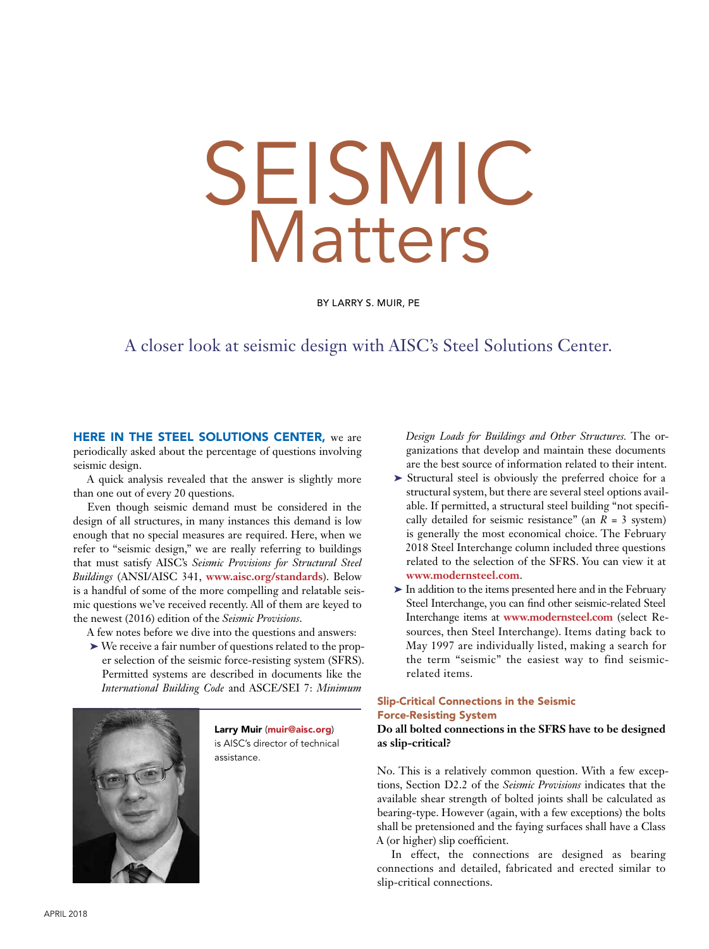# SEISMIC Matters

BY LARRY S. MUIR, PE

# A closer look at seismic design with AISC's Steel Solutions Center.

HERE IN THE STEEL SOLUTIONS CENTER, we are periodically asked about the percentage of questions involving seismic design.

A quick analysis revealed that the answer is slightly more than one out of every 20 questions.

Even though seismic demand must be considered in the design of all structures, in many instances this demand is low enough that no special measures are required. Here, when we refer to "seismic design," we are really referring to buildings that must satisfy AISC's *Seismic Provisions for Structural Steel Buildings* (ANSI/AISC 341, **www.aisc.org/standards**). Below is a handful of some of the more compelling and relatable seismic questions we've received recently. All of them are keyed to the newest (2016) edition of the *Seismic Provisions*.

A few notes before we dive into the questions and answers:

➤ We receive a fair number of questions related to the proper selection of the seismic force-resisting system (SFRS). Permitted systems are described in documents like the *International Building Code* and ASCE/SEI 7: *Minimum* 



Larry Muir (muir@aisc.org) is AISC's director of technical assistance.

*Design Loads for Buildings and Other Structures.* The organizations that develop and maintain these documents are the best source of information related to their intent.

- ➤ Structural steel is obviously the preferred choice for a structural system, but there are several steel options available. If permitted, a structural steel building "not specifically detailed for seismic resistance" (an  $R = 3$  system) is generally the most economical choice. The February 2018 Steel Interchange column included three questions related to the selection of the SFRS. You can view it at **www.modernsteel.com**.
- ➤ In addition to the items presented here and in the February Steel Interchange, you can find other seismic-related Steel Interchange items at **www.modernsteel.com** (select Resources, then Steel Interchange). Items dating back to May 1997 are individually listed, making a search for the term "seismic" the easiest way to find seismicrelated items.

# Slip-Critical Connections in the Seismic Force-Resisting System

# **Do all bolted connections in the SFRS have to be designed as slip-critical?**

No. This is a relatively common question. With a few exceptions, Section D2.2 of the *Seismic Provisions* indicates that the available shear strength of bolted joints shall be calculated as bearing-type. However (again, with a few exceptions) the bolts shall be pretensioned and the faying surfaces shall have a Class A (or higher) slip coefficient.

In effect, the connections are designed as bearing connections and detailed, fabricated and erected similar to slip-critical connections.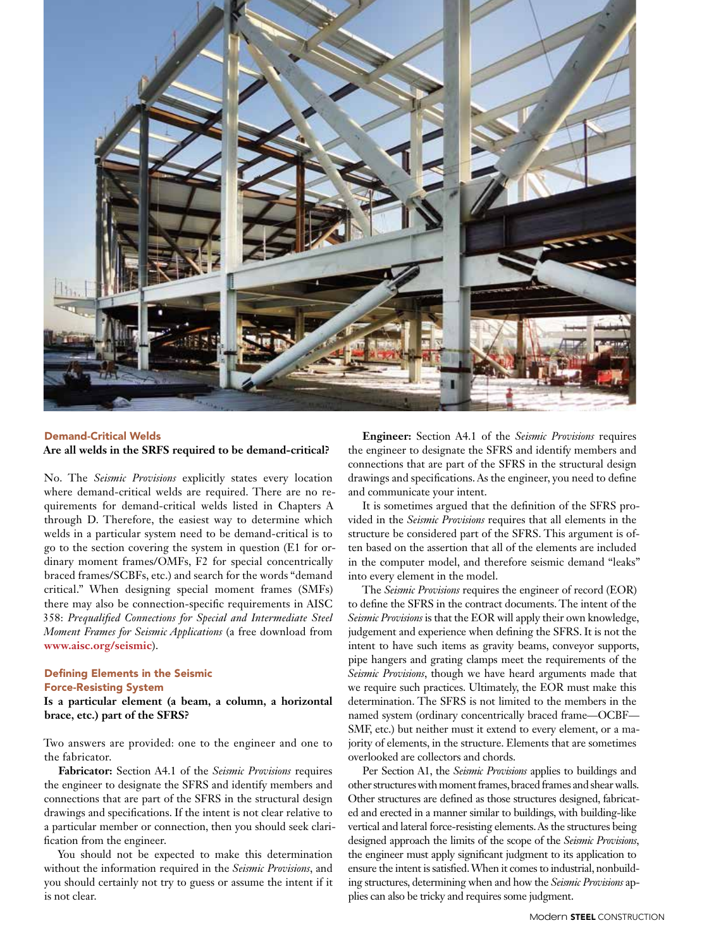

#### Demand-Critical Welds **Are all welds in the SRFS required to be demand-critical?**

No. The *Seismic Provisions* explicitly states every location where demand-critical welds are required. There are no requirements for demand-critical welds listed in Chapters A through D. Therefore, the easiest way to determine which welds in a particular system need to be demand-critical is to go to the section covering the system in question (E1 for ordinary moment frames/OMFs, F2 for special concentrically braced frames/SCBFs, etc.) and search for the words "demand critical." When designing special moment frames (SMFs) there may also be connection-specific requirements in AISC 358: *Prequalified Connections for Special and Intermediate Steel Moment Frames for Seismic Applications* (a free download from **www.aisc.org/seismic**).

# Defining Elements in the Seismic Force-Resisting System

**Is a particular element (a beam, a column, a horizontal brace, etc.) part of the SFRS?** 

Two answers are provided: one to the engineer and one to the fabricator.

**Fabricator:** Section A4.1 of the *Seismic Provisions* requires the engineer to designate the SFRS and identify members and connections that are part of the SFRS in the structural design drawings and specifications. If the intent is not clear relative to a particular member or connection, then you should seek clarification from the engineer.

You should not be expected to make this determination without the information required in the *Seismic Provisions*, and you should certainly not try to guess or assume the intent if it is not clear.

**Engineer:** Section A4.1 of the *Seismic Provisions* requires the engineer to designate the SFRS and identify members and connections that are part of the SFRS in the structural design drawings and specifications. As the engineer, you need to define and communicate your intent.

It is sometimes argued that the definition of the SFRS provided in the *Seismic Provisions* requires that all elements in the structure be considered part of the SFRS. This argument is often based on the assertion that all of the elements are included in the computer model, and therefore seismic demand "leaks" into every element in the model.

The *Seismic Provisions* requires the engineer of record (EOR) to define the SFRS in the contract documents. The intent of the *Seismic Provisions* is that the EOR will apply their own knowledge, judgement and experience when defining the SFRS. It is not the intent to have such items as gravity beams, conveyor supports, pipe hangers and grating clamps meet the requirements of the *Seismic Provisions*, though we have heard arguments made that we require such practices. Ultimately, the EOR must make this determination. The SFRS is not limited to the members in the named system (ordinary concentrically braced frame—OCBF— SMF, etc.) but neither must it extend to every element, or a majority of elements, in the structure. Elements that are sometimes overlooked are collectors and chords.

Per Section A1, the *Seismic Provisions* applies to buildings and other structures with moment frames, braced frames and shear walls. Other structures are defined as those structures designed, fabricated and erected in a manner similar to buildings, with building-like vertical and lateral force-resisting elements. As the structures being designed approach the limits of the scope of the *Seismic Provisions*, the engineer must apply significant judgment to its application to ensure the intent is satisfied. When it comes to industrial, nonbuilding structures, determining when and how the *Seismic Provisions* applies can also be tricky and requires some judgment.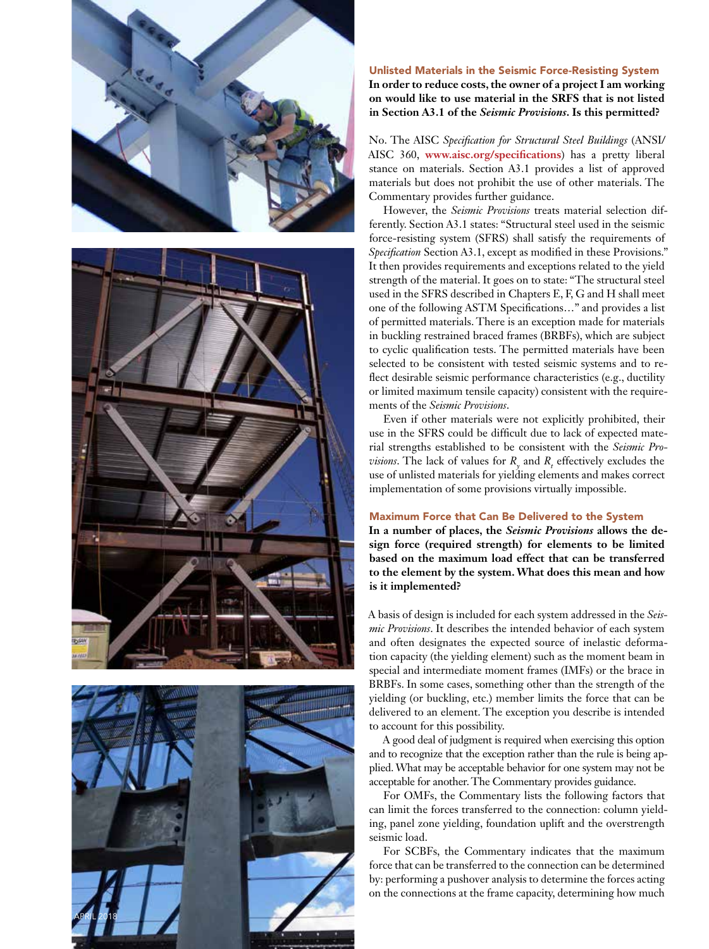





# Unlisted Materials in the Seismic Force-Resisting System **In order to reduce costs, the owner of a project I am working on would like to use material in the SRFS that is not listed in Section A3.1 of the** *Seismic Provisions***. Is this permitted?**

No. The AISC *Specification for Structural Steel Buildings* (ANSI/ AISC 360, **www.aisc.org/specifications**) has a pretty liberal stance on materials. Section A3.1 provides a list of approved materials but does not prohibit the use of other materials. The Commentary provides further guidance.

However, the *Seismic Provisions* treats material selection differently. Section A3.1 states: "Structural steel used in the seismic force-resisting system (SFRS) shall satisfy the requirements of *Specification* Section A3.1, except as modified in these Provisions." It then provides requirements and exceptions related to the yield strength of the material. It goes on to state: "The structural steel used in the SFRS described in Chapters E, F, G and H shall meet one of the following ASTM Specifications…" and provides a list of permitted materials. There is an exception made for materials in buckling restrained braced frames (BRBFs), which are subject to cyclic qualification tests. The permitted materials have been selected to be consistent with tested seismic systems and to reflect desirable seismic performance characteristics (e.g., ductility or limited maximum tensile capacity) consistent with the require ments of the *Seismic Provisions* .

Even if other materials were not explicitly prohibited, their use in the SFRS could be difficult due to lack of expected mate rial strengths established to be consistent with the *Seismic Pro visions*. The lack of values for  $R_{\gamma}$  and  $R_{t}$  effectively excludes the use of unlisted materials for yielding elements and makes correct implementation of some provisions virtually impossible.

#### Maximum Force that Can Be Delivered to the System

**In a number of places, the** *Seismic Provisions* **allows the de sign force (required strength) for elements to be limited based on the maximum load effect that can be transferred to the element by the system. What does this mean and how is it implemented?**

A basis of design is included for each system addressed in the *Seis mic Provisions*. It describes the intended behavior of each system and often designates the expected source of inelastic deforma tion capacity (the yielding element) such as the moment beam in special and intermediate moment frames (IMFs) or the brace in BRBFs. In some cases, something other than the strength of the yielding (or buckling, etc.) member limits the force that can be delivered to an element. The exception you describe is intended to account for this possibility.

A good deal of judgment is required when exercising this option and to recognize that the exception rather than the rule is being applied. What may be acceptable behavior for one system may not be acceptable for another. The Commentary provides guidance.

For OMFs, the Commentary lists the following factors that can limit the forces transferred to the connection: column yield ing, panel zone yielding, foundation uplift and the overstrength seismic load.

For SCBFs, the Commentary indicates that the maximum force that can be transferred to the connection can be determined by: performing a pushover analysis to determine the forces acting on the connections at the frame capacity, determining how much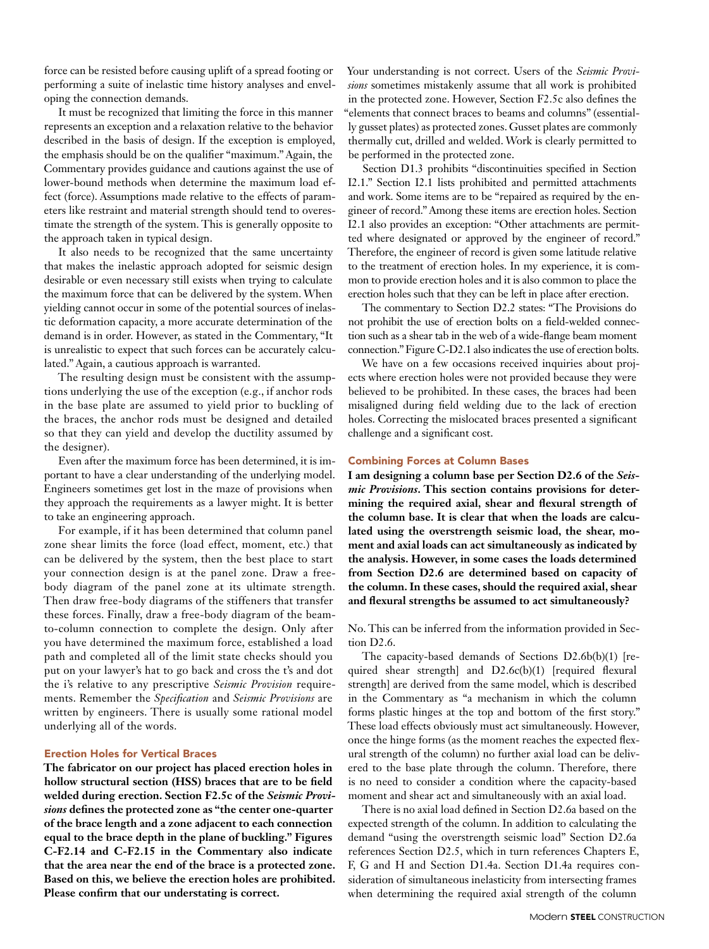force can be resisted before causing uplift of a spread footing or performing a suite of inelastic time history analyses and enveloping the connection demands.

It must be recognized that limiting the force in this manner represents an exception and a relaxation relative to the behavior described in the basis of design. If the exception is employed, the emphasis should be on the qualifier "maximum." Again, the Commentary provides guidance and cautions against the use of lower-bound methods when determine the maximum load effect (force). Assumptions made relative to the effects of parameters like restraint and material strength should tend to overestimate the strength of the system. This is generally opposite to the approach taken in typical design.

It also needs to be recognized that the same uncertainty that makes the inelastic approach adopted for seismic design desirable or even necessary still exists when trying to calculate the maximum force that can be delivered by the system. When yielding cannot occur in some of the potential sources of inelastic deformation capacity, a more accurate determination of the demand is in order. However, as stated in the Commentary, "It is unrealistic to expect that such forces can be accurately calculated." Again, a cautious approach is warranted.

The resulting design must be consistent with the assumptions underlying the use of the exception (e.g., if anchor rods in the base plate are assumed to yield prior to buckling of the braces, the anchor rods must be designed and detailed so that they can yield and develop the ductility assumed by the designer).

Even after the maximum force has been determined, it is important to have a clear understanding of the underlying model. Engineers sometimes get lost in the maze of provisions when they approach the requirements as a lawyer might. It is better to take an engineering approach.

For example, if it has been determined that column panel zone shear limits the force (load effect, moment, etc.) that can be delivered by the system, then the best place to start your connection design is at the panel zone. Draw a freebody diagram of the panel zone at its ultimate strength. Then draw free-body diagrams of the stiffeners that transfer these forces. Finally, draw a free-body diagram of the beamto-column connection to complete the design. Only after you have determined the maximum force, established a load path and completed all of the limit state checks should you put on your lawyer's hat to go back and cross the t's and dot the i's relative to any prescriptive *Seismic Provision* requirements. Remember the *Specification* and *Seismic Provisions* are written by engineers. There is usually some rational model underlying all of the words.

#### Erection Holes for Vertical Braces

**The fabricator on our project has placed erection holes in hollow structural section (HSS) braces that are to be field welded during erection. Section F2.5c of the** *Seismic Provisions* **defines the protected zone as "the center one-quarter of the brace length and a zone adjacent to each connection equal to the brace depth in the plane of buckling." Figures C-F2.14 and C-F2.15 in the Commentary also indicate that the area near the end of the brace is a protected zone. Based on this, we believe the erection holes are prohibited. Please confirm that our understating is correct.**

Your understanding is not correct. Users of the *Seismic Provisions* sometimes mistakenly assume that all work is prohibited in the protected zone. However, Section F2.5c also defines the "elements that connect braces to beams and columns" (essentially gusset plates) as protected zones. Gusset plates are commonly thermally cut, drilled and welded. Work is clearly permitted to be performed in the protected zone.

Section D1.3 prohibits "discontinuities specified in Section I2.1." Section I2.1 lists prohibited and permitted attachments and work. Some items are to be "repaired as required by the engineer of record." Among these items are erection holes. Section I2.1 also provides an exception: "Other attachments are permitted where designated or approved by the engineer of record." Therefore, the engineer of record is given some latitude relative to the treatment of erection holes. In my experience, it is common to provide erection holes and it is also common to place the erection holes such that they can be left in place after erection.

The commentary to Section D2.2 states: "The Provisions do not prohibit the use of erection bolts on a field-welded connection such as a shear tab in the web of a wide-flange beam moment connection." Figure C-D2.1 also indicates the use of erection bolts.

We have on a few occasions received inquiries about projects where erection holes were not provided because they were believed to be prohibited. In these cases, the braces had been misaligned during field welding due to the lack of erection holes. Correcting the mislocated braces presented a significant challenge and a significant cost.

#### Combining Forces at Column Bases

**I am designing a column base per Section D2.6 of the** *Seismic Provisions***. This section contains provisions for determining the required axial, shear and flexural strength of the column base. It is clear that when the loads are calculated using the overstrength seismic load, the shear, moment and axial loads can act simultaneously as indicated by the analysis. However, in some cases the loads determined from Section D2.6 are determined based on capacity of the column. In these cases, should the required axial, shear and flexural strengths be assumed to act simultaneously?** 

No. This can be inferred from the information provided in Section D2.6.

The capacity-based demands of Sections D2.6b(b)(1) [required shear strength] and D2.6c(b)(1) [required flexural strength] are derived from the same model, which is described in the Commentary as "a mechanism in which the column forms plastic hinges at the top and bottom of the first story." These load effects obviously must act simultaneously. However, once the hinge forms (as the moment reaches the expected flexural strength of the column) no further axial load can be delivered to the base plate through the column. Therefore, there is no need to consider a condition where the capacity-based moment and shear act and simultaneously with an axial load.

There is no axial load defined in Section D2.6a based on the expected strength of the column. In addition to calculating the demand "using the overstrength seismic load" Section D2.6a references Section D2.5, which in turn references Chapters E, F, G and H and Section D1.4a. Section D1.4a requires consideration of simultaneous inelasticity from intersecting frames when determining the required axial strength of the column